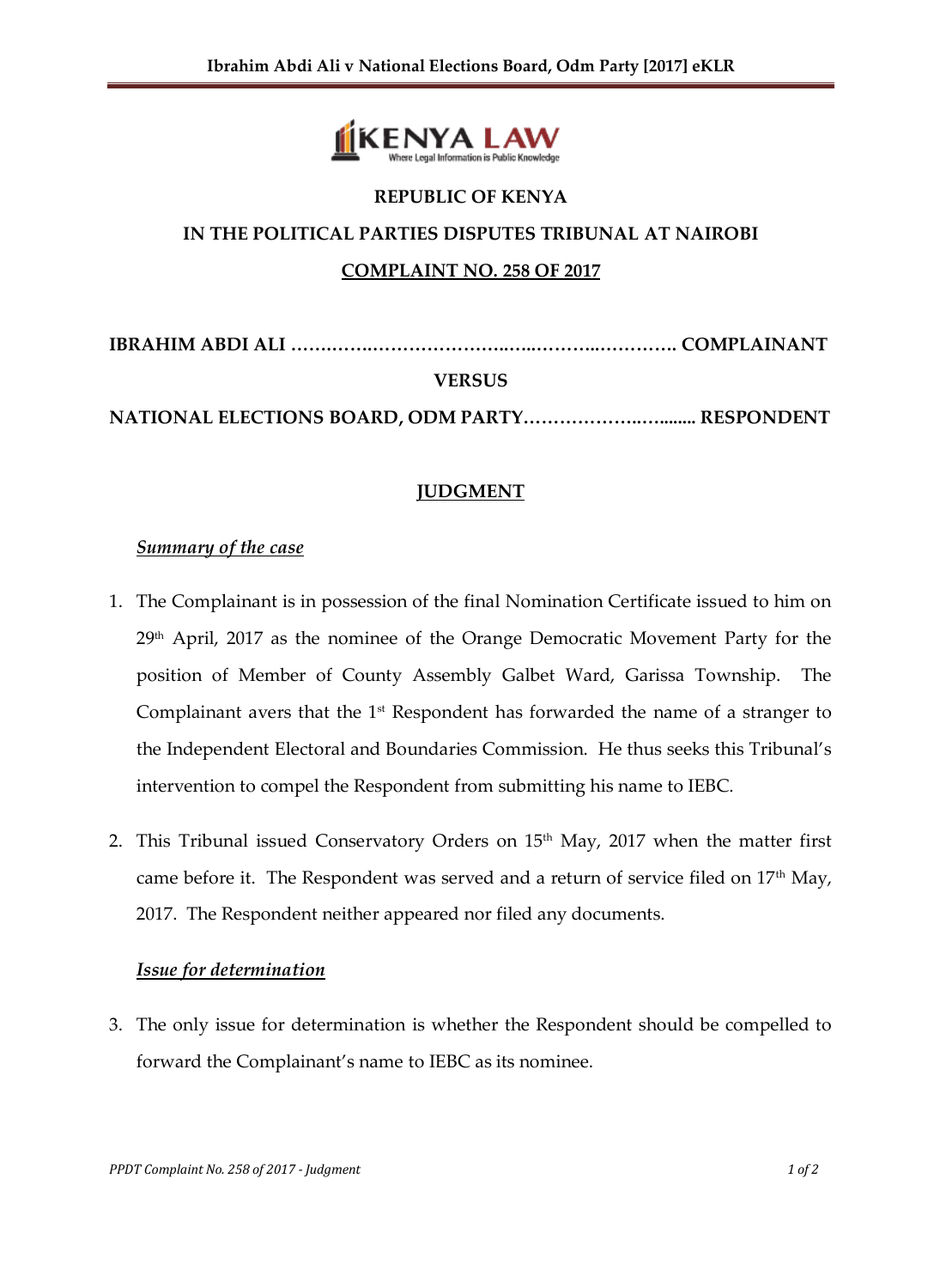

# **REPUBLIC OF KENYA IN THE POLITICAL PARTIES DISPUTES TRIBUNAL AT NAIROBI COMPLAINT NO. 258 OF 2017**

| <b>VERSUS</b>                                  |  |
|------------------------------------------------|--|
| NATIONAL ELECTIONS BOARD, ODM PARTY RESPONDENT |  |

## **JUDGMENT**

## *Summary of the case*

- 1. The Complainant is in possession of the final Nomination Certificate issued to him on 29<sup>th</sup> April, 2017 as the nominee of the Orange Democratic Movement Party for the position of Member of County Assembly Galbet Ward, Garissa Township. The Complainant avers that the  $1<sup>st</sup>$  Respondent has forwarded the name of a stranger to the Independent Electoral and Boundaries Commission. He thus seeks this Tribunal's intervention to compel the Respondent from submitting his name to IEBC.
- 2. This Tribunal issued Conservatory Orders on  $15<sup>th</sup>$  May, 2017 when the matter first came before it. The Respondent was served and a return of service filed on  $17<sup>th</sup>$  May, 2017. The Respondent neither appeared nor filed any documents.

### *Issue for determination*

3. The only issue for determination is whether the Respondent should be compelled to forward the Complainant's name to IEBC as its nominee.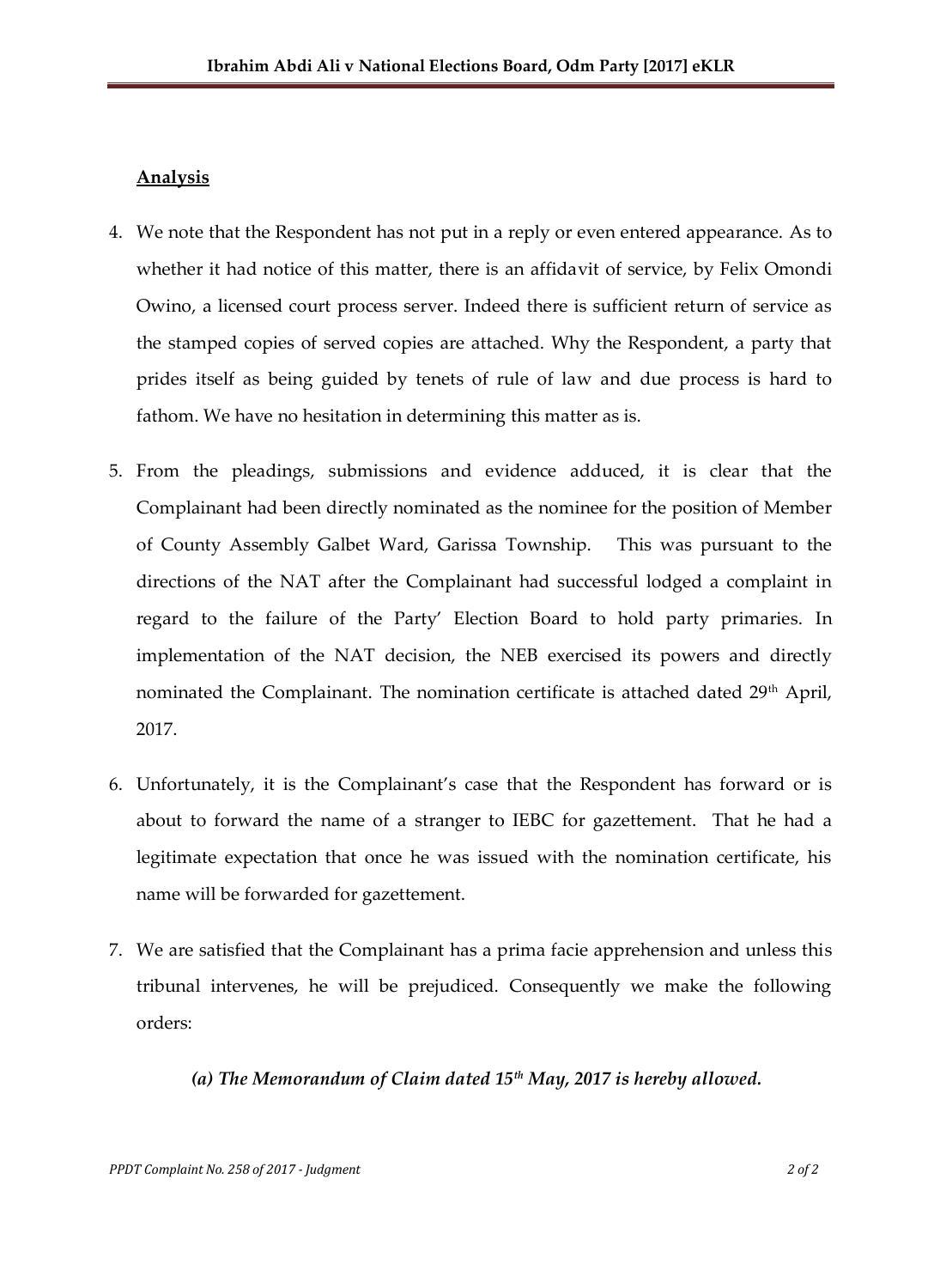### **Analysis**

- 4. We note that the Respondent has not put in a reply or even entered appearance. As to whether it had notice of this matter, there is an affidavit of service, by Felix Omondi Owino, a licensed court process server. Indeed there is sufficient return of service as the stamped copies of served copies are attached. Why the Respondent, a party that prides itself as being guided by tenets of rule of law and due process is hard to fathom. We have no hesitation in determining this matter as is.
- 5. From the pleadings, submissions and evidence adduced, it is clear that the Complainant had been directly nominated as the nominee for the position of Member of County Assembly Galbet Ward, Garissa Township. This was pursuant to the directions of the NAT after the Complainant had successful lodged a complaint in regard to the failure of the Party' Election Board to hold party primaries. In implementation of the NAT decision, the NEB exercised its powers and directly nominated the Complainant. The nomination certificate is attached dated 29<sup>th</sup> April, 2017.
- 6. Unfortunately, it is the Complainant's case that the Respondent has forward or is about to forward the name of a stranger to IEBC for gazettement. That he had a legitimate expectation that once he was issued with the nomination certificate, his name will be forwarded for gazettement.
- 7. We are satisfied that the Complainant has a prima facie apprehension and unless this tribunal intervenes, he will be prejudiced. Consequently we make the following orders:

#### *(a) The Memorandum of Claim dated 15th May, 2017 is hereby allowed.*